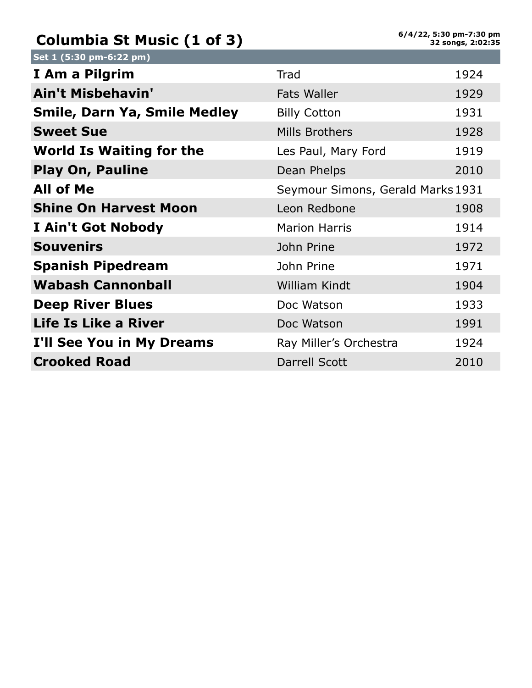## **Columbia St Music (1 of 3)**

| Set 1 (5:30 pm-6:22 pm)             |                                   |      |
|-------------------------------------|-----------------------------------|------|
| I Am a Pilgrim                      | Trad                              | 1924 |
| Ain't Misbehavin'                   | <b>Fats Waller</b>                | 1929 |
| <b>Smile, Darn Ya, Smile Medley</b> | <b>Billy Cotton</b>               | 1931 |
| <b>Sweet Sue</b>                    | Mills Brothers                    | 1928 |
| <b>World Is Waiting for the</b>     | Les Paul, Mary Ford               | 1919 |
| <b>Play On, Pauline</b>             | Dean Phelps                       | 2010 |
| <b>All of Me</b>                    | Seymour Simons, Gerald Marks 1931 |      |
| <b>Shine On Harvest Moon</b>        | Leon Redbone                      | 1908 |
| I Ain't Got Nobody                  | <b>Marion Harris</b>              | 1914 |
| <b>Souvenirs</b>                    | John Prine                        | 1972 |
| <b>Spanish Pipedream</b>            | John Prine                        | 1971 |
| <b>Wabash Cannonball</b>            | William Kindt                     | 1904 |
| <b>Deep River Blues</b>             | Doc Watson                        | 1933 |
| Life Is Like a River                | Doc Watson                        | 1991 |
| I'll See You in My Dreams           | Ray Miller's Orchestra            | 1924 |
| <b>Crooked Road</b>                 | <b>Darrell Scott</b>              | 2010 |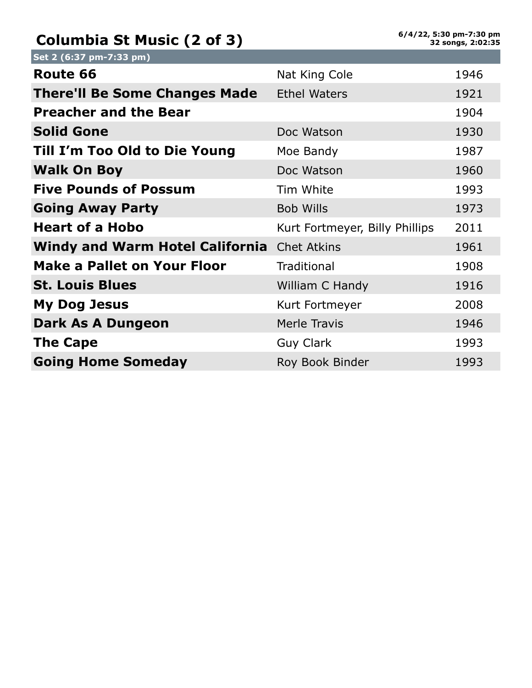## **Columbia St Music (2 of 3)**

| Set 2 (6:37 pm-7:33 pm)                            |                                |      |
|----------------------------------------------------|--------------------------------|------|
| Route 66                                           | Nat King Cole                  | 1946 |
| <b>There'll Be Some Changes Made</b>               | <b>Ethel Waters</b>            | 1921 |
| <b>Preacher and the Bear</b>                       |                                | 1904 |
| <b>Solid Gone</b>                                  | Doc Watson                     | 1930 |
| Till I'm Too Old to Die Young                      | Moe Bandy                      | 1987 |
| <b>Walk On Boy</b>                                 | Doc Watson                     | 1960 |
| <b>Five Pounds of Possum</b>                       | Tim White                      | 1993 |
| <b>Going Away Party</b>                            | <b>Bob Wills</b>               | 1973 |
| <b>Heart of a Hobo</b>                             | Kurt Fortmeyer, Billy Phillips | 2011 |
| <b>Windy and Warm Hotel California</b> Chet Atkins |                                | 1961 |
| <b>Make a Pallet on Your Floor</b>                 | <b>Traditional</b>             | 1908 |
| <b>St. Louis Blues</b>                             | William C Handy                | 1916 |
| <b>My Dog Jesus</b>                                | Kurt Fortmeyer                 | 2008 |
| Dark As A Dungeon                                  | <b>Merle Travis</b>            | 1946 |
| <b>The Cape</b>                                    | <b>Guy Clark</b>               | 1993 |
| <b>Going Home Someday</b>                          | Roy Book Binder                | 1993 |